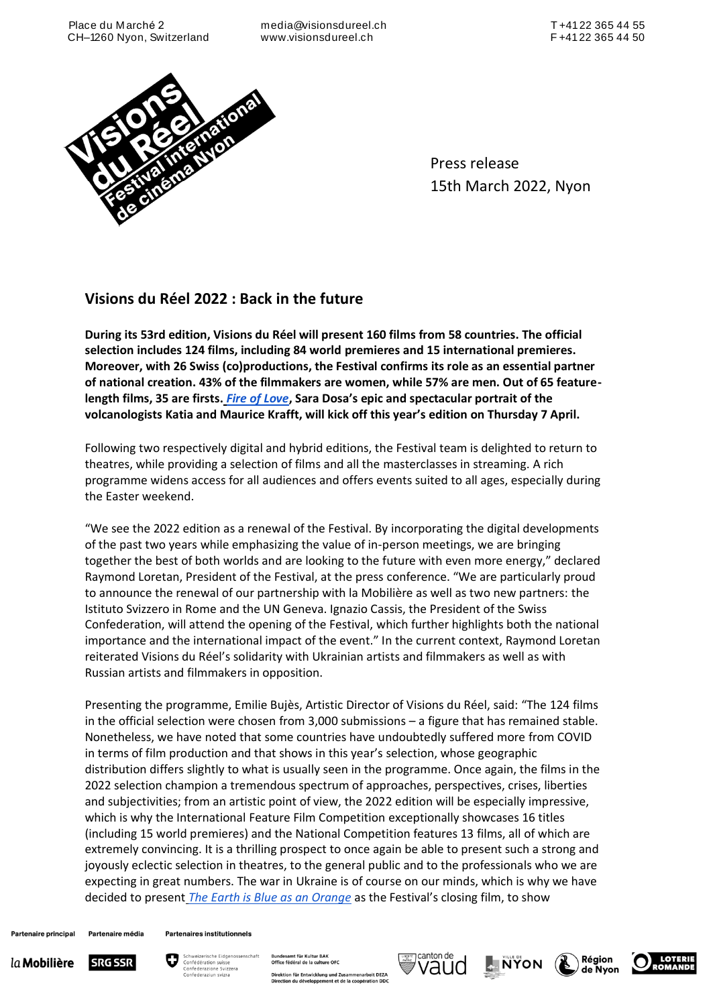media@visionsdureel.ch www.visionsdureel.ch



Press release 15th March 2022, Nyon

# **Visions du Réel 2022 : Back in the future**

**During its 53rd edition, Visions du Réel will present 160 films from 58 countries. The official selection includes 124 films, including 84 world premieres and 15 international premieres. Moreover, with 26 Swiss (co)productions, the Festival confirms its role as an essential partner of national creation. 43% of the filmmakers are women, while 57% are men. Out of 65 featurelength films, 35 are firsts.** *[Fire of Love](https://visionsdureel.ch/en/film/2022/fire-of-love/)***, Sara Dosa's epic and spectacular portrait of the volcanologists Katia and Maurice Krafft, will kick off this year's edition on Thursday 7 April.**

Following two respectively digital and hybrid editions, the Festival team is delighted to return to theatres, while providing a selection of films and all the masterclasses in streaming. A rich programme widens access for all audiences and offers events suited to all ages, especially during the Easter weekend.

"We see the 2022 edition as a renewal of the Festival. By incorporating the digital developments of the past two years while emphasizing the value of in-person meetings, we are bringing together the best of both worlds and are looking to the future with even more energy," declared Raymond Loretan, President of the Festival, at the press conference. "We are particularly proud to announce the renewal of our partnership with la Mobilière as well as two new partners: the Istituto Svizzero in Rome and the UN Geneva. Ignazio Cassis, the President of the Swiss Confederation, will attend the opening of the Festival, which further highlights both the national importance and the international impact of the event." In the current context, Raymond Loretan reiterated Visions du Réel's solidarity with Ukrainian artists and filmmakers as well as with Russian artists and filmmakers in opposition.

Presenting the programme, Emilie Bujès, Artistic Director of Visions du Réel, said: "The 124 films in the official selection were chosen from 3,000 submissions – a figure that has remained stable. Nonetheless, we have noted that some countries have undoubtedly suffered more from COVID in terms of film production and that shows in this year's selection, whose geographic distribution differs slightly to what is usually seen in the programme. Once again, the films in the 2022 selection champion a tremendous spectrum of approaches, perspectives, crises, liberties and subjectivities; from an artistic point of view, the 2022 edition will be especially impressive, which is why the International Feature Film Competition exceptionally showcases 16 titles (including 15 world premieres) and the National Competition features 13 films, all of which are extremely convincing. It is a thrilling prospect to once again be able to present such a strong and joyously eclectic selection in theatres, to the general public and to the professionals who we are expecting in great numbers. The war in Ukraine is of course on our minds, which is why we have decided to present *[The Earth is Blue as an Orange](https://visionsdureel.ch/en/film/2022/the-earth-is-blue-as-an-orange-2/)* as the Festival's closing film, to show

Partenaire principal Partenaire média







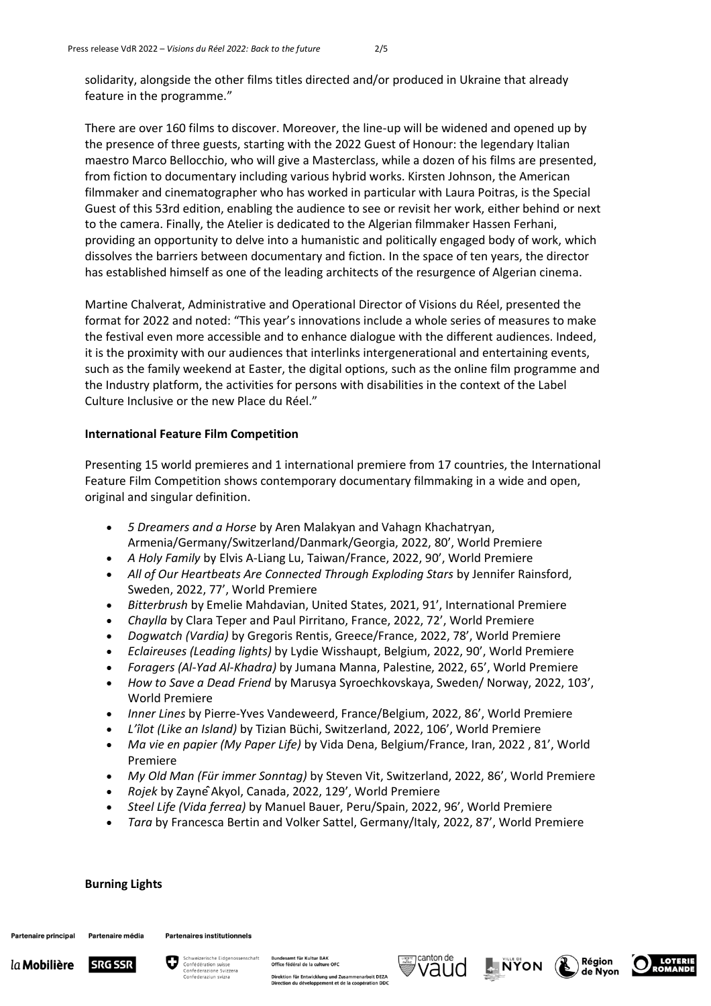solidarity, alongside the other films titles directed and/or produced in Ukraine that already feature in the programme."

There are over 160 films to discover. Moreover, the line-up will be widened and opened up by the presence of three guests, starting with the 2022 Guest of Honour: the legendary Italian maestro Marco Bellocchio, who will give a Masterclass, while a dozen of his films are presented, from fiction to documentary including various hybrid works. Kirsten Johnson, the American filmmaker and cinematographer who has worked in particular with Laura Poitras, is the Special Guest of this 53rd edition, enabling the audience to see or revisit her work, either behind or next to the camera. Finally, the Atelier is dedicated to the Algerian filmmaker Hassen Ferhani, providing an opportunity to delve into a humanistic and politically engaged body of work, which dissolves the barriers between documentary and fiction. In the space of ten years, the director has established himself as one of the leading architects of the resurgence of Algerian cinema.

Martine Chalverat, Administrative and Operational Director of Visions du Réel, presented the format for 2022 and noted: "This year's innovations include a whole series of measures to make the festival even more accessible and to enhance dialogue with the different audiences. Indeed, it is the proximity with our audiences that interlinks intergenerational and entertaining events, such as the family weekend at Easter, the digital options, such as the online film programme and the Industry platform, the activities for persons with disabilities in the context of the Label Culture Inclusive or the new Place du Réel."

# **International Feature Film Competition**

Presenting 15 world premieres and 1 international premiere from 17 countries, the International Feature Film Competition shows contemporary documentary filmmaking in a wide and open, original and singular definition.

- *5 Dreamers and a Horse* by Aren Malakyan and Vahagn Khachatryan, Armenia/Germany/Switzerland/Danmark/Georgia, 2022, 80', World Premiere
- *A Holy Family* by Elvis A-Liang Lu, Taiwan/France, 2022, 90', World Premiere
- *All of Our Heartbeats Are Connected Through Exploding Stars* by Jennifer Rainsford, Sweden, 2022, 77', World Premiere
- *Bitterbrush* by Emelie Mahdavian, United States, 2021, 91', International Premiere
- *Chaylla* by Clara Teper and Paul Pirritano, France, 2022, 72', World Premiere
- *Dogwatch (Vardia)* by Gregoris Rentis, Greece/France, 2022, 78', World Premiere
- *Eclaireuses (Leading lights)* by Lydie Wisshaupt, Belgium, 2022, 90', World Premiere
- *Foragers (Al-Yad Al-Khadra)* by Jumana Manna, Palestine, 2022, 65', World Premiere
- *How to Save a Dead Friend* by Marusya Syroechkovskaya, Sweden/ Norway, 2022, 103', World Premiere
- *Inner Lines* by Pierre-Yves Vandeweerd, France/Belgium, 2022, 86', World Premiere
- *L'îlot (Like an Island)* by Tizian Büchi, Switzerland, 2022, 106', World Premiere
- *Ma vie en papier (My Paper Life)* by Vida Dena, Belgium/France, Iran, 2022 , 81', World Premiere
- *My Old Man (Für immer Sonntag)* by Steven Vit, Switzerland, 2022, 86', World Premiere
- *Rojek* by ZaynêAkyol, Canada, 2022, 129', World Premiere
- *Steel Life (Vida ferrea)* by Manuel Bauer, Peru/Spain, 2022, 96', World Premiere
- *Tara* by Francesca Bertin and Volker Sattel, Germany/Italy, 2022, 87', World Premiere

### **Burning Lights**

Partenaire principal Partenaire média









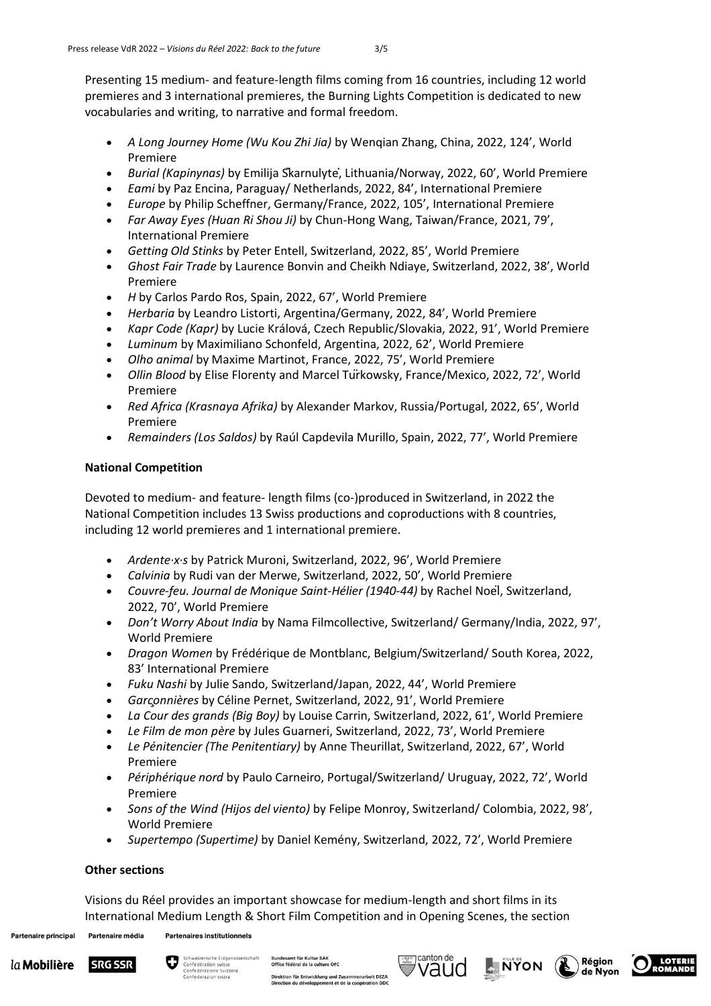Presenting 15 medium- and feature-length films coming from 16 countries, including 12 world premieres and 3 international premieres, the Burning Lights Competition is dedicated to new vocabularies and writing, to narrative and formal freedom.

- *A Long Journey Home (Wu Kou Zhi Jia)* by Wenqian Zhang, China, 2022, 124', World Premiere
- *Burial (Kapinynas)* by Emilija Škarnulytė, Lithuania/Norway, 2022, 60', World Premiere
- *Eami* by Paz Encina, Paraguay/ Netherlands, 2022, 84', International Premiere
- *Europe* by Philip Scheffner, Germany/France, 2022, 105', International Premiere
- *Far Away Eyes (Huan Ri Shou Ji)* by Chun-Hong Wang, Taiwan/France, 2021, 79', International Premiere
- *Getting Old Stinks* by Peter Entell, Switzerland, 2022, 85', World Premiere
- *Ghost Fair Trade* by Laurence Bonvin and Cheikh Ndiaye, Switzerland, 2022, 38', World Premiere
- *H* by Carlos Pardo Ros, Spain, 2022, 67', World Premiere
- *Herbaria* by Leandro Listorti, Argentina/Germany, 2022, 84', World Premiere
- *Kapr Code (Kapr)* by Lucie Králová, Czech Republic/Slovakia, 2022, 91', World Premiere
- *Luminum* by Maximiliano Schonfeld, Argentina, 2022, 62', World Premiere
- *Olho animal* by Maxime Martinot, France, 2022, 75', World Premiere
- *Ollin Blood* by Elise Florenty and Marcel Türkowsky, France/Mexico, 2022, 72', World Premiere
- *Red Africa (Krasnaya Afrika)* by Alexander Markov, Russia/Portugal, 2022, 65', World Premiere
- *Remainders (Los Saldos)* by Raúl Capdevila Murillo, Spain, 2022, 77', World Premiere

# **National Competition**

Devoted to medium- and feature- length films (co-)produced in Switzerland, in 2022 the National Competition includes 13 Swiss productions and coproductions with 8 countries, including 12 world premieres and 1 international premiere.

- *Ardente∙x∙s* by Patrick Muroni, Switzerland, 2022, 96', World Premiere
- *Calvinia* by Rudi van der Merwe, Switzerland, 2022, 50', World Premiere
- *Couvre-feu. Journal de Monique Saint-Hélier (1940-44)* by Rachel Noël, Switzerland, 2022, 70', World Premiere
- *Don't Worry About India* by Nama Filmcollective, Switzerland/ Germany/India, 2022, 97', World Premiere
- *Dragon Women* by Frédérique de Montblanc, Belgium/Switzerland/ South Korea, 2022, 83' International Premiere
- *Fuku Nashi* by Julie Sando, Switzerland/Japan, 2022, 44', World Premiere
- *Garçonnières* by Céline Pernet, Switzerland, 2022, 91', World Premiere
- *La Cour des grands (Big Boy)* by Louise Carrin, Switzerland, 2022, 61', World Premiere
- *Le Film de mon père* by Jules Guarneri, Switzerland, 2022, 73', World Premiere
- *Le Pénitencier (The Penitentiary)* by Anne Theurillat, Switzerland, 2022, 67', World Premiere
- *Périphérique nord* by Paulo Carneiro, Portugal/Switzerland/ Uruguay, 2022, 72', World Premiere
- *Sons of the Wind (Hijos del viento)* by Felipe Monroy, Switzerland/ Colombia, 2022, 98', World Premiere
- *Supertempo (Supertime)* by Daniel Kemény, Switzerland, 2022, 72', World Premiere

# **Other sections**

Visions du Réel provides an important showcase for medium-length and short films in its International Medium Length & Short Film Competition and in Opening Scenes, the section

Partenaire principal Partenaire média **Partenaires institutionnels** 



mt für Kult





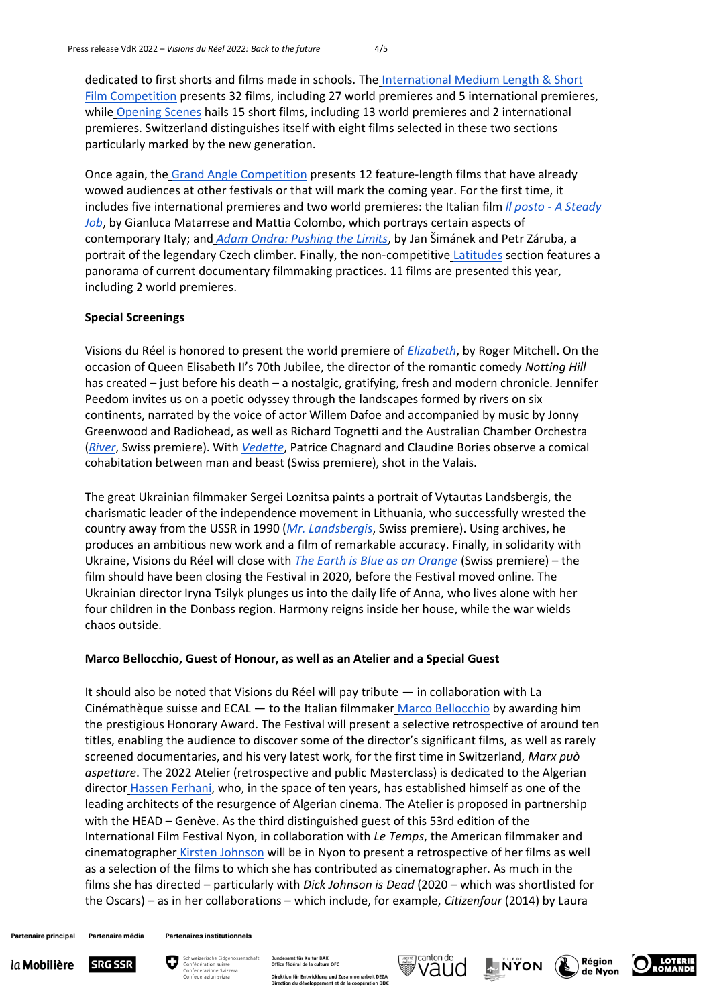dedicated to first shorts and films made in schools. The [International Medium Length & Short](https://visionsdureel.ch/en/program/section/international-medium-length-short-film-competition/)  [Film Competition](https://visionsdureel.ch/en/program/section/international-medium-length-short-film-competition/) presents 32 films, including 27 world premieres and 5 international premieres, while [Opening Scenes](https://visionsdureel.ch/en/program/section/opening-scenes/) hails 15 short films, including 13 world premieres and 2 international premieres. Switzerland distinguishes itself with eight films selected in these two sections particularly marked by the new generation.

Once again, the [Grand Angle Competition](https://visionsdureel.ch/en/program/section/grand-angle/) presents 12 feature-length films that have already wowed audiences at other festivals or that will mark the coming year. For the first time, it includes five international premieres and two world premieres: the Italian film *ll posto - [A Steady](https://visionsdureel.ch/en/film/2022/il-posto-a-steady-job/)  [Job](https://visionsdureel.ch/en/film/2022/il-posto-a-steady-job/)*, by Gianluca Matarrese and Mattia Colombo, which portrays certain aspects of contemporary Italy; and *[Adam Ondra: Pushing the Limits](https://visionsdureel.ch/en/film/2022/adam-ondra-pushing-the-limits/)*, by Jan Šimánek and Petr Záruba, a portrait of the legendary Czech climber. Finally, the non-competitive [Latitudes](https://visionsdureel.ch/en/program/section/latitudes/) section features a panorama of current documentary filmmaking practices. 11 films are presented this year, including 2 world premieres.

### **Special Screenings**

Visions du Réel is honored to present the world premiere of *[Elizabeth](https://visionsdureel.ch/en/film/2022/elizabeth/)*, by Roger Mitchell. On the occasion of Queen Elisabeth II's 70th Jubilee, the director of the romantic comedy *Notting Hill* has created – just before his death – a nostalgic, gratifying, fresh and modern chronicle. Jennifer Peedom invites us on a poetic odyssey through the landscapes formed by rivers on six continents, narrated by the voice of actor Willem Dafoe and accompanied by music by Jonny Greenwood and Radiohead, as well as Richard Tognetti and the Australian Chamber Orchestra (*[River](https://visionsdureel.ch/en/film/2022/river/)*, Swiss premiere). With *[Vedette](https://visiosndureel.ch/en/film/2022/vedette/)*, Patrice Chagnard and Claudine Bories observe a comical cohabitation between man and beast (Swiss premiere), shot in the Valais.

The great Ukrainian filmmaker Sergei Loznitsa paints a portrait of Vytautas Landsbergis, the charismatic leader of the independence movement in Lithuania, who successfully wrested the country away from the USSR in 1990 (*[Mr. Landsbergis](https://visionsdureel.ch/en/film/2022/mr-landsbergis/)*, Swiss premiere). Using archives, he produces an ambitious new work and a film of remarkable accuracy. Finally, in solidarity with Ukraine, Visions du Réel will close with *[The Earth is Blue as an Orange](https://visionsdureel.ch/en/film/2022/the-earth-is-blue-as-an-orange-2/)* (Swiss premiere) – the film should have been closing the Festival in 2020, before the Festival moved online. The Ukrainian director Iryna Tsilyk plunges us into the daily life of Anna, who lives alone with her four children in the Donbass region. Harmony reigns inside her house, while the war wields chaos outside.

#### **Marco Bellocchio, Guest of Honour, as well as an Atelier and a Special Guest**

It should also be noted that Visions du Réel will pay tribute — in collaboration with La Cinémathèque suisse and ECAL — to the Italian filmmaker [Marco Bellocchio](https://visionsdureel.ch/en/program/guest-of-honour/marco-bellocchio/) by awarding him the prestigious Honorary Award. The Festival will present a selective retrospective of around ten titles, enabling the audience to discover some of the director's significant films, as well as rarely screened documentaries, and his very latest work, for the first time in Switzerland, *Marx può aspettare*. The 2022 Atelier (retrospective and public Masterclass) is dedicated to the Algerian director [Hassen Ferhani,](https://visionsdureel.ch/en/program/ateliers/hassen-ferhani/) who, in the space of ten years, has established himself as one of the leading architects of the resurgence of Algerian cinema. The Atelier is proposed in partnership with the HEAD – Genève. As the third distinguished guest of this 53rd edition of the International Film Festival Nyon, in collaboration with *Le Temps*, the American filmmaker and cinematographer [Kirsten Johnson](https://visionsdureel.ch/en/program/invitee-speciale-kirsten-johnson/) will be in Nyon to present a retrospective of her films as well as a selection of the films to which she has contributed as cinematographer. As much in the films she has directed – particularly with *Dick Johnson is Dead* (2020 – which was shortlisted for the Oscars) – as in her collaborations – which include, for example, *Citizenfour* (2014) by Laura

**Partenaire principal** Partenaire média